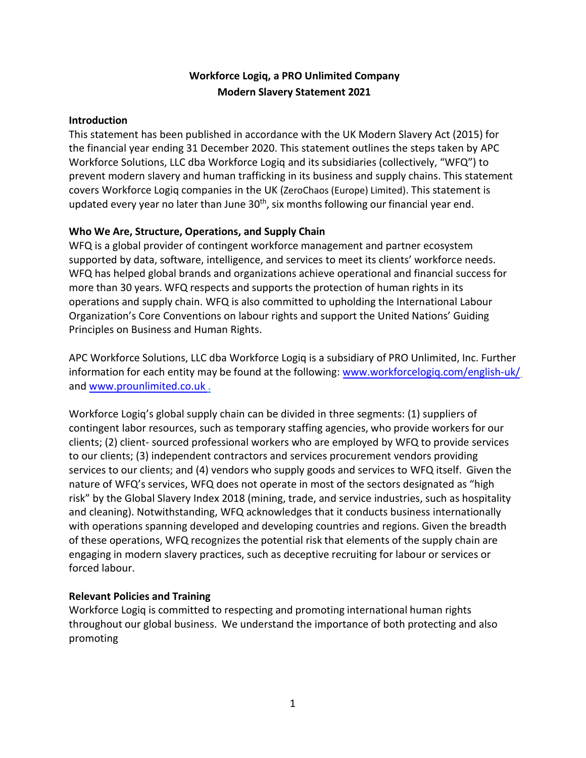## **Workforce Logiq, a PRO Unlimited Company Modern Slavery Statement 2021**

## **Introduction**

This statement has been published in accordance with the UK Modern Slavery Act (2015) for the financial year ending 31 December 2020. This statement outlines the steps taken by APC Workforce Solutions, LLC dba Workforce Logiq and its subsidiaries (collectively, "WFQ") to prevent modern slavery and human trafficking in its business and supply chains. This statement covers Workforce Logiq companies in the UK (ZeroChaos (Europe) Limited). This statement is updated every year no later than June  $30<sup>th</sup>$ , six months following our financial year end.

## **Who We Are, Structure, Operations, and Supply Chain**

WFQ is a global provider of contingent workforce management and partner ecosystem supported by data, software, intelligence, and services to meet its clients' workforce needs. WFQ has helped global brands and organizations achieve operational and financial success for more than 30 years. WFQ respects and supports the protection of human rights in its operations and supply chain. WFQ is also committed to upholding the International Labour Organization's Core Conventions on labour rights and support the United Nations' Guiding Principles on Business and Human Rights.

APC Workforce Solutions, LLC dba Workforce Logiq is a subsidiary of PRO Unlimited, Inc. Further information for each entity may be found at the following: [www.workforcelogiq.com/english-uk/](http://www.workforcelogiq.com/english-uk/) and www.prounlimited.co.uk .

Workforce Logiq's global supply chain can be divided in three segments: (1) suppliers of contingent labor resources, such as temporary staffing agencies, who provide workers for our clients; (2) client- sourced professional workers who are employed by WFQ to provide services to our clients; (3) independent contractors and services procurement vendors providing services to our clients; and (4) vendors who supply goods and services to WFQ itself. Given the nature of WFQ's services, WFQ does not operate in most of the sectors designated as "high risk" by the Global Slavery Index 2018 (mining, trade, and service industries, such as hospitality and cleaning). Notwithstanding, WFQ acknowledges that it conducts business internationally with operations spanning developed and developing countries and regions. Given the breadth of these operations, WFQ recognizes the potential risk that elements of the supply chain are engaging in modern slavery practices, such as deceptive recruiting for labour or services or forced labour.

## **Relevant Policies and Training**

Workforce Logiq is committed to respecting and promoting international human rights throughout our global business. We understand the importance of both protecting and also promoting